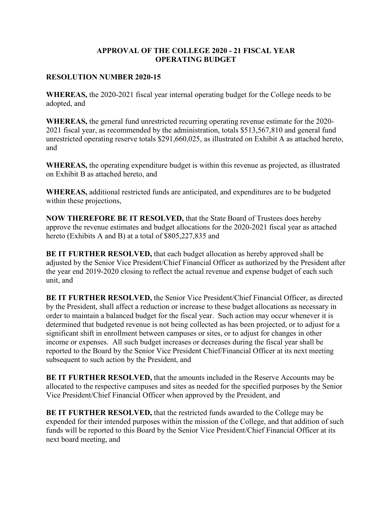## **APPROVAL OF THE COLLEGE 2020 - 21 FISCAL YEAR OPERATING BUDGET**

## **RESOLUTION NUMBER 2020-15**

**WHEREAS,** the 2020-2021 fiscal year internal operating budget for the College needs to be adopted, and

**WHEREAS,** the general fund unrestricted recurring operating revenue estimate for the 2020- 2021 fiscal year, as recommended by the administration, totals \$513,567,810 and general fund unrestricted operating reserve totals \$291,660,025, as illustrated on Exhibit A as attached hereto, and

**WHEREAS,** the operating expenditure budget is within this revenue as projected, as illustrated on Exhibit B as attached hereto, and

**WHEREAS,** additional restricted funds are anticipated, and expenditures are to be budgeted within these projections,

**NOW THEREFORE BE IT RESOLVED,** that the State Board of Trustees does hereby approve the revenue estimates and budget allocations for the 2020-2021 fiscal year as attached hereto (Exhibits A and B) at a total of \$805,227,835 and

**BE IT FURTHER RESOLVED,** that each budget allocation as hereby approved shall be adjusted by the Senior Vice President/Chief Financial Officer as authorized by the President after the year end 2019-2020 closing to reflect the actual revenue and expense budget of each such unit, and

**BE IT FURTHER RESOLVED,** the Senior Vice President/Chief Financial Officer, as directed by the President, shall affect a reduction or increase to these budget allocations as necessary in order to maintain a balanced budget for the fiscal year. Such action may occur whenever it is determined that budgeted revenue is not being collected as has been projected, or to adjust for a significant shift in enrollment between campuses or sites, or to adjust for changes in other income or expenses. All such budget increases or decreases during the fiscal year shall be reported to the Board by the Senior Vice President Chief/Financial Officer at its next meeting subsequent to such action by the President, and

**BE IT FURTHER RESOLVED,** that the amounts included in the Reserve Accounts may be allocated to the respective campuses and sites as needed for the specified purposes by the Senior Vice President/Chief Financial Officer when approved by the President, and

**BE IT FURTHER RESOLVED,** that the restricted funds awarded to the College may be expended for their intended purposes within the mission of the College, and that addition of such funds will be reported to this Board by the Senior Vice President/Chief Financial Officer at its next board meeting, and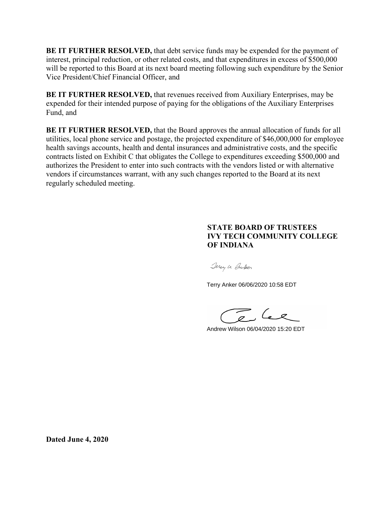**BE IT FURTHER RESOLVED,** that debt service funds may be expended for the payment of interest, principal reduction, or other related costs, and that expenditures in excess of \$500,000 will be reported to this Board at its next board meeting following such expenditure by the Senior Vice President/Chief Financial Officer, and

**BE IT FURTHER RESOLVED,** that revenues received from Auxiliary Enterprises, may be expended for their intended purpose of paying for the obligations of the Auxiliary Enterprises Fund, and

**BE IT FURTHER RESOLVED,** that the Board approves the annual allocation of funds for all utilities, local phone service and postage, the projected expenditure of \$46,000,000 for employee health savings accounts, health and dental insurances and administrative costs, and the specific contracts listed on Exhibit C that obligates the College to expenditures exceeding \$500,000 and authorizes the President to enter into such contracts with the vendors listed or with alternative vendors if circumstances warrant, with any such changes reported to the Board at its next regularly scheduled meeting.

# **STATE BOARD OF TRUSTEES IVY TECH COMMUNITY COLLEGE OF INDIANA**

Jerry le Cruber

Terry Anker 06/06/2020 10:58 EDT

Andrew Wilson 06/04/2020 15:20 EDT

**Dated June 4, 2020**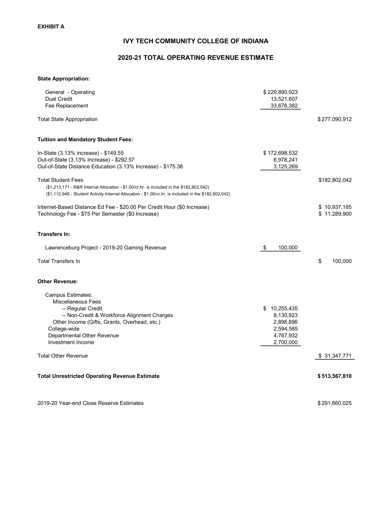# IVY TECH COMMUNITY COLLEGE OF INDIANA

# 2020-21 TOTAL OPERATING REVENUE ESTIMATE

#### State Appropriation:

| General - Operating                                                                                   | \$229,890,923            |               |
|-------------------------------------------------------------------------------------------------------|--------------------------|---------------|
| <b>Dual Credit</b><br>Fee Replacement                                                                 | 13,521,607<br>33,678,382 |               |
|                                                                                                       |                          |               |
| <b>Total State Appropriation</b>                                                                      |                          | \$277,090,912 |
| <b>Tuition and Mandatory Student Fees:</b>                                                            |                          |               |
| In-State (3.13% increase) - \$149.55                                                                  | \$172,698,532            |               |
| Out-of-State (3.13% Increase) - \$292.57                                                              | 6,978,241                |               |
| Out-of-State Distance Education (3.13% Increase) - \$175.38                                           | 3,125,269                |               |
| <b>Total Student Fees</b>                                                                             |                          | \$182,802,042 |
| (\$1,213,171 - R&R Internal Allocation - \$1.00/cr.hr. is included in the \$182,802,042)              |                          |               |
| (\$1,112,949 - Student Activity Internal Allocation - \$1.00/cr.hr. is included in the \$182,802,042) |                          |               |
| Internet-Based Distance Ed Fee - \$20.00 Per Credit Hour (\$0 Increase)                               |                          | \$10,937,185  |
| Technology Fee - \$75 Per Semester (\$0 Increase)                                                     |                          | \$11,289,900  |
| <b>Transfers In:</b>                                                                                  |                          |               |
| Lawrenceburg Project - 2019-20 Gaming Revenue                                                         | 100,000<br>\$            |               |
| <b>Total Transfers In</b>                                                                             |                          | \$<br>100,000 |
| <b>Other Revenue:</b>                                                                                 |                          |               |
| Campus Estimates:                                                                                     |                          |               |
| <b>Miscellaneous Fees</b>                                                                             |                          |               |
| -- Regular Credit                                                                                     | \$10,255,435             |               |
| -- Non-Credit & Workforce Alignment Charges                                                           | 8,130,923                |               |
| Other Income (Gifts, Grants, Overhead, etc.)                                                          | 2,898,896                |               |
| College-wide                                                                                          | 2,594,585                |               |
| Departmental Other Revenue                                                                            | 4,767,932                |               |
| Investment Income                                                                                     | 2,700,000                |               |
| <b>Total Other Revenue</b>                                                                            |                          | \$31,347,771  |
| <b>Total Unrestricted Operating Revenue Estimate</b>                                                  |                          | \$513,567,810 |
| 2019-20 Year-end Close Reserve Estimates                                                              |                          | \$291,660,025 |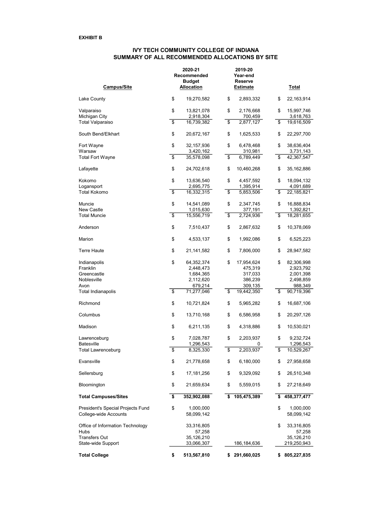#### IVY TECH COMMUNITY COLLEGE OF INDIANA SUMMARY OF ALL RECOMMENDED ALLOCATIONS BY SITE

| <b>Campus/Site</b>                                         |                                    | 2020-21<br>Recommended<br>Budget<br><b>Allocation</b> |                         | 2019-20<br>Year-end<br>Reserve<br><b>Estimate</b> | <u>Total</u>                  |
|------------------------------------------------------------|------------------------------------|-------------------------------------------------------|-------------------------|---------------------------------------------------|-------------------------------|
| Lake County                                                | \$                                 | 19,270,582                                            | \$                      | 2,893,332                                         | \$<br>22,163,914              |
| Valparaiso                                                 | \$                                 | 13,821,078                                            | \$                      | 2,176,668                                         | \$<br>15,997,746              |
| Michigan City                                              |                                    | 2,918,304                                             |                         | 700,459                                           | 3,618,763                     |
| Total Valparaiso                                           | $\overline{\mathbf{s}}$            | 16,739,382                                            | $\overline{\mathbf{s}}$ | 2,877,127                                         | \$<br>19,616,509              |
|                                                            |                                    |                                                       |                         |                                                   |                               |
| South Bend/Elkhart                                         | \$                                 | 20,672,167                                            | \$                      | 1,625,533                                         | \$<br>22,297,700              |
| Fort Wayne                                                 | \$                                 | 32,157,936                                            | \$                      | 6,478,468                                         | \$<br>38,636,404              |
| Warsaw                                                     |                                    | 3,420,162                                             |                         | 310,981                                           | 3,731,143                     |
| <b>Total Fort Wayne</b>                                    | \$                                 | 35,578,098                                            | \$                      | 6,789,449                                         | \$<br>42,367,547              |
| Lafayette                                                  | \$                                 | 24,702,618                                            | \$                      | 10,460,268                                        | \$<br>35,162,886              |
|                                                            |                                    |                                                       |                         |                                                   |                               |
| Kokomo                                                     | \$                                 | 13,636,540                                            | \$                      | 4,457,592                                         | \$<br>18,094,132              |
| Logansport                                                 |                                    | 2,695,775                                             |                         | 1,395,914                                         | 4,091,689                     |
| Total Kokomo                                               | $\overline{\boldsymbol{\epsilon}}$ | 16,332,315                                            | \$                      | 5,853,506                                         | \$<br>22,185,821              |
| Muncie                                                     | \$                                 | 14,541,089                                            | \$                      | 2,347,745                                         | \$<br>16,888,834              |
| New Castle                                                 |                                    | 1,015,630                                             |                         | 377,191                                           | 1,392,821                     |
| <b>Total Muncie</b>                                        | \$                                 | 15,556,719                                            | \$                      | 2,724,936                                         | \$<br>18,281,655              |
|                                                            |                                    |                                                       |                         |                                                   |                               |
| Anderson                                                   | \$                                 | 7,510,437                                             | \$                      | 2,867,632                                         | \$<br>10,378,069              |
| Marion                                                     | \$                                 | 4,533,137                                             | \$                      | 1,992,086                                         | \$<br>6,525,223               |
| Terre Haute                                                | \$                                 | 21,141,582                                            | \$                      | 7,806,000                                         | \$<br>28,947,582              |
| Indianapolis                                               | \$                                 | 64,352,374                                            | \$                      | 17,954,624                                        | \$<br>82,306,998              |
| Franklin                                                   |                                    | 2,448,473                                             |                         | 475,319                                           | 2,923,792                     |
| Greencastle                                                |                                    | 1,684,365                                             |                         | 317,033                                           | 2,001,398                     |
| Noblesville                                                |                                    | 2,112,620                                             |                         | 386,239                                           | 2,498,859                     |
| Avon                                                       |                                    | 679,214                                               |                         | 309,135                                           | 988,349                       |
| Total Indianapolis                                         | \$                                 | 71,277,046                                            | \$                      | 19,442,350                                        | \$<br>90,719,396              |
|                                                            |                                    |                                                       |                         |                                                   |                               |
| Richmond                                                   | \$                                 | 10,721,824                                            | \$                      | 5,965,282                                         | \$<br>16,687,106              |
| Columbus                                                   | \$                                 | 13,710,168                                            | \$                      | 6,586,958                                         | \$<br>20,297,126              |
| Madison                                                    | \$                                 | 6,211,135                                             | \$                      | 4,318,886                                         | \$<br>10,530,021              |
| Lawrenceburg                                               | \$                                 | 7,028,787                                             | \$                      | 2,203,937                                         | \$<br>9,232,724               |
| <b>Batesville</b>                                          |                                    | 1,296,543                                             |                         | 0                                                 | 1,296,543                     |
| Total Lawrenceburg                                         | \$                                 | 8,325,330                                             | \$                      | 2,203,937                                         | \$<br>10,529,267              |
|                                                            |                                    |                                                       |                         |                                                   |                               |
| Evansville                                                 | \$                                 | 21,778,658                                            | \$                      | 6,180,000                                         | \$<br>27,958,658              |
| Sellersburg                                                | \$                                 | 17,181,256                                            | \$                      | 9,329,092                                         | \$<br>26,510,348              |
| Bloomington                                                | \$                                 | 21,659,634                                            | \$                      | 5,559,015                                         | \$<br>27,218,649              |
| <b>Total Campuses/Sites</b>                                | \$                                 | 352,902,088                                           | \$                      | 105,475,389                                       | \$<br>458,377,477             |
| President's Special Projects Fund<br>College-wide Accounts | \$                                 | 1,000,000<br>58,099,142                               |                         |                                                   | \$<br>1,000,000<br>58,099,142 |
|                                                            |                                    |                                                       |                         |                                                   |                               |
| Office of Information Technology                           |                                    | 33,316,805                                            |                         |                                                   | \$<br>33,316,805              |
| Hubs                                                       |                                    | 57,258                                                |                         |                                                   | 57,258                        |
| Transfers Out                                              |                                    | 35,126,210                                            |                         |                                                   | 35,126,210                    |
| State-wide Support                                         |                                    | 33,066,307                                            |                         | 186,184,636                                       | 219,250,943                   |
| <b>Total College</b>                                       | \$                                 | 513,567,810                                           | s.                      | 291,660,025                                       | \$<br>805,227,835             |